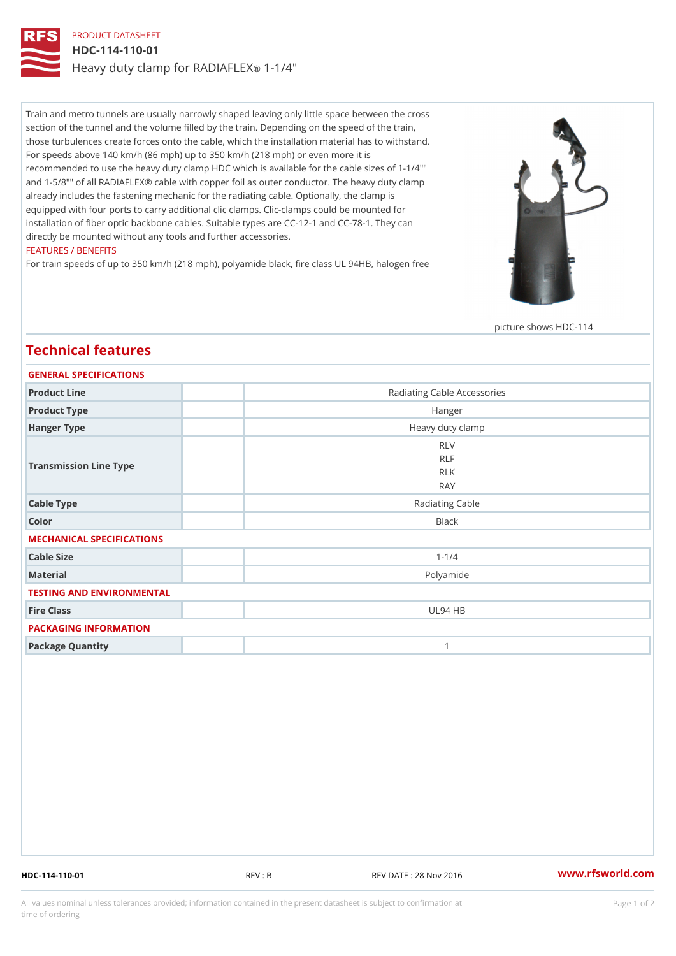### PRODUCT DATASHEET HDC-114-110-01 Heavy duty clamp for RA-DIVAFLEX

Train and metro tunnels are usually narrowly shaped leaving only little space between the cross section of the tunnel and the volume filled by the train. Depending on the speed of the train, those turbulences create forces onto the cable, which the installation material has to withstand. For speeds above 140 km/h (86 mph) up to 350 km/h (218 mph) or even more it is recommended to use the heavy duty clamp HDC which is available for the cable sizes of 1-1/4"" and 1-5/8"" of all RADIAFLEX® cable with copper foil as outer conductor. The heavy duty clamp already includes the fastening mechanic for the radiating cable. Optionally, the clamp is equipped with four ports to carry additional clic clamps. Clic-clamps could be mounted for installation of fiber optic backbone cables. Suitable types are CC-12-1 and CC-78-1. They can directly be mounted without any tools and further accessories. FEATURES / BENEFITS

#### For train speeds of up to 350 km/h (218 mph), polyamide black, fire class UL 94HB, halogen free

picture shows HDC-114

# GENERAL SPECIFICATIONS Product Line Radiating Cable Accessories Product Type **Hanger** Hanger Type Heavy duty clamp Transmission Line Type RLV RLF RLK RAY Cable Type **Radiating Cable** Radiating Cable Color Black MECHANICAL SPECIFICATIONS Cable Size 1-1/4 Material Polyamide TESTING AND ENVIRONMENTAL Fire Class UL94 HB PACKAGING INFORMATION Package Quantity 1

#### Technical features

HDC-114-110-01 REV : B REV DATE : 28 Nov 2016 [www.](https://www.rfsworld.com)rfsworld.com